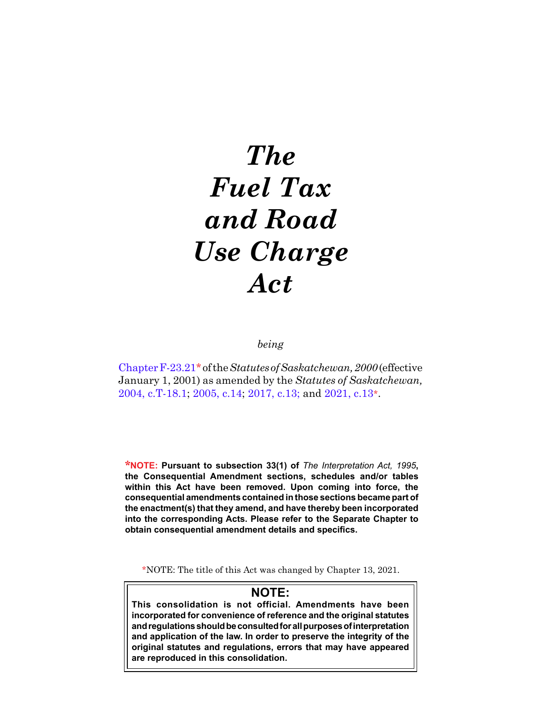# *The Fuel Tax and Road Use Charge Act*

*being*

[Chapter F-23.21](https://publications.saskatchewan.ca:443/api/v1/products/3449/formats/6488/download)\* of the *Statutes of Saskatchewan, 2000* (effective January 1, 2001) as amended by the *Statutes of Saskatchewan,*  [2004, c.T-18.1;](https://publications.saskatchewan.ca:443/api/v1/products/9561/formats/14495/download) [2005, c.14;](https://publications.saskatchewan.ca:443/api/v1/products/10288/formats/15533/download) [2017, c.13](https://publications.saskatchewan.ca:443/api/v1/products/85824/formats/99400/download); and [2021, c.13](https://publications.saskatchewan.ca:443/api/v1/products/113417/formats/127537/download)\*.

**\*NOTE: Pursuant to subsection 33(1) of** *The Interpretation Act, 1995***, the Consequential Amendment sections, schedules and/or tables within this Act have been removed. Upon coming into force, the consequential amendments contained in those sections became part of the enactment(s) that they amend, and have thereby been incorporated into the corresponding Acts. Please refer to the Separate Chapter to obtain consequential amendment details and specifics.**

\*NOTE: The title of this Act was changed by Chapter 13, 2021.

# **NOTE: This consolidation is not official. Amendments have been incorporated for convenience of reference and the original statutes and regulations should be consulted for all purposes of interpretation and application of the law. In order to preserve the integrity of the original statutes and regulations, errors that may have appeared are reproduced in this consolidation.**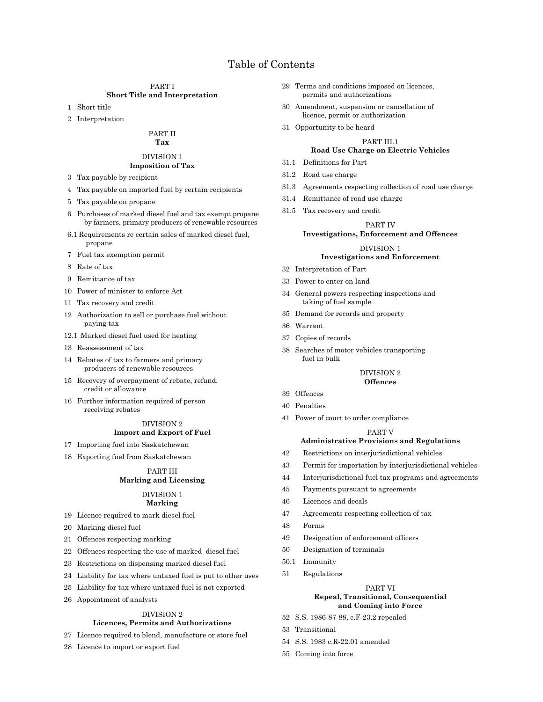# Table of Contents

#### PART I **Short Title and Interpretation**

- 1 Short title
- 2 Interpretation

#### PART II **Tax**

# DIVISION 1 **Imposition of Tax**

- 3 Tax payable by recipient
- 4 Tax payable on imported fuel by certain recipients
- 5 Tax payable on propane
- 6 Purchases of marked diesel fuel and tax exempt propane by farmers, primary producers of renewable resources
- 6.1 Requirements re certain sales of marked diesel fuel, propane
- 7 Fuel tax exemption permit
- 8 Rate of tax
- 9 Remittance of tax
- 10 Power of minister to enforce Act
- 11 Tax recovery and credit
- 12 Authorization to sell or purchase fuel without paying tax
- 12.1 Marked diesel fuel used for heating
- 13 Reassessment of tax
- 14 Rebates of tax to farmers and primary producers of renewable resources
- 15 Recovery of overpayment of rebate, refund, credit or allowance
- 16 Further information required of person receiving rebates

# DIVISION 2 **Import and Export of Fuel**

- 17 Importing fuel into Saskatchewan
- 18 Exporting fuel from Saskatchewan

# PART III **Marking and Licensing**

#### DIVISION 1 **Marking**

- 19 Licence required to mark diesel fuel
- 20 Marking diesel fuel
- 21 Offences respecting marking
- 22 Offences respecting the use of marked diesel fuel
- 23 Restrictions on dispensing marked diesel fuel
- 24 Liability for tax where untaxed fuel is put to other uses
- 25 Liability for tax where untaxed fuel is not exported
- 26 Appointment of analysts

# DIVISION 2

# **Licences, Permits and Authorizations**

- 27 Licence required to blend, manufacture or store fuel
- 28 Licence to import or export fuel
- 29 Terms and conditions imposed on licences, permits and authorizations
- 30 Amendment, suspension or cancellation of licence, permit or authorization
- 31 Opportunity to be heard

# PART III.1

# **Road Use Charge on Electric Vehicles**

- 31.1 Definitions for Part
- 31.2 Road use charge
- 31.3 Agreements respecting collection of road use charge
- 31.4 Remittance of road use charge
- 31.5 Tax recovery and credit

# PART IV

# **Investigations, Enforcement and Offences**

#### DIVISION 1 **Investigations and Enforcement**

- 32 Interpretation of Part
- 33 Power to enter on land
- 34 General powers respecting inspections and taking of fuel sample
- 35 Demand for records and property
- 36 Warrant
- 37 Copies of records
- 38 Searches of motor vehicles transporting fuel in bulk

#### DIVISION 2 **Offences**

- 39 Offences
- 40 Penalties
- 41 Power of court to order compliance

# PART V

# **Administrative Provisions and Regulations**

- 42 Restrictions on interjurisdictional vehicles
- 43 Permit for importation by interjurisdictional vehicles
- 44 Interjurisdictional fuel tax programs and agreements
- 45 Payments pursuant to agreements
- 46 Licences and decals
- 47 Agreements respecting collection of tax
- 48 Forms
- 49 Designation of enforcement officers
- 50 Designation of terminals
- 50.1 Immunity
- 51 Regulations

#### PART VI **Repeal, Transitional, Consequential and Coming into Force**

- 52 S.S. 1986-87-88, c.F-23.2 repealed
- 53 Transitional
- 54 S.S. 1983 c.R-22.01 amended
- 55 Coming into force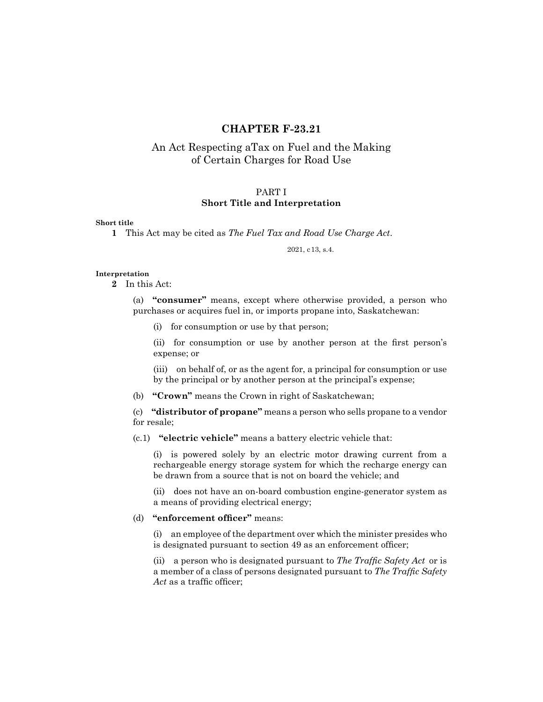# **CHAPTER F-23.21**

# An Act Respecting aTax on Fuel and the Making of Certain Charges for Road Use

# PART I **Short Title and Interpretation**

# **Short title**

**1** This Act may be cited as *The Fuel Tax and Road Use Charge Act*.

2021, c13, s.4.

# **Interpretation**

**2** In this Act:

(a) **"consumer"** means, except where otherwise provided, a person who purchases or acquires fuel in, or imports propane into, Saskatchewan:

(i) for consumption or use by that person;

(ii) for consumption or use by another person at the first person's expense; or

(iii) on behalf of, or as the agent for, a principal for consumption or use by the principal or by another person at the principal's expense;

(b) **"Crown"** means the Crown in right of Saskatchewan;

(c) **"distributor of propane"** means a person who sells propane to a vendor for resale;

(c.1) **"electric vehicle"** means a battery electric vehicle that:

(i) is powered solely by an electric motor drawing current from a rechargeable energy storage system for which the recharge energy can be drawn from a source that is not on board the vehicle; and

(ii) does not have an on-board combustion engine-generator system as a means of providing electrical energy;

# (d) **"enforcement officer"** means:

(i) an employee of the department over which the minister presides who is designated pursuant to section 49 as an enforcement officer;

(ii) a person who is designated pursuant to *The Traffic Safety Act* or is a member of a class of persons designated pursuant to *The Traffic Safety*  Act as a traffic officer;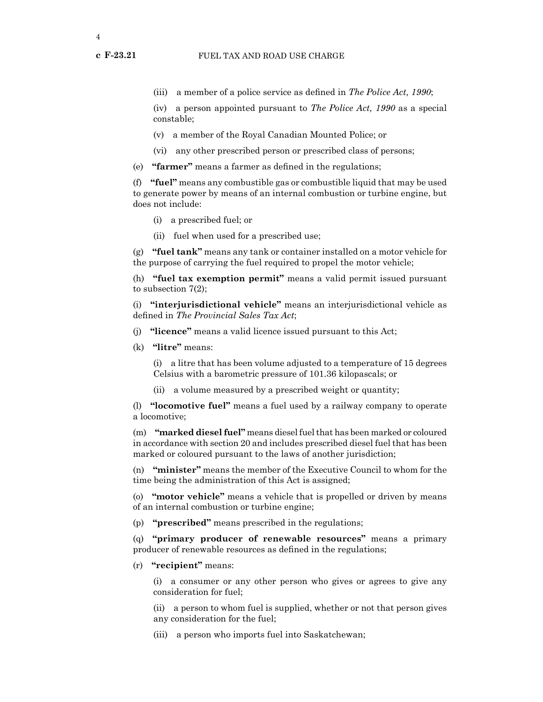(iv) a person appointed pursuant to *The Police Act, 1990* as a special constable;

- (v) a member of the Royal Canadian Mounted Police; or
- (vi) any other prescribed person or prescribed class of persons;
- (e) **"farmer"** means a farmer as defined in the regulations;

(f) **"fuel"** means any combustible gas or combustible liquid that may be used to generate power by means of an internal combustion or turbine engine, but does not include:

- (i) a prescribed fuel; or
- (ii) fuel when used for a prescribed use;

(g) **"fuel tank"** means any tank or container installed on a motor vehicle for the purpose of carrying the fuel required to propel the motor vehicle;

(h) **"fuel tax exemption permit"** means a valid permit issued pursuant to subsection 7(2);

(i) **"interjurisdictional vehicle"** means an interjurisdictional vehicle as defined in *The Provincial Sales Tax Act*;

- (j) **"licence"** means a valid licence issued pursuant to this Act;
- (k) **"litre"** means:

(i) a litre that has been volume adjusted to a temperature of 15 degrees Celsius with a barometric pressure of 101.36 kilopascals; or

(ii) a volume measured by a prescribed weight or quantity;

(l) **"locomotive fuel"** means a fuel used by a railway company to operate a locomotive;

(m) **"marked diesel fuel"** means diesel fuel that has been marked or coloured in accordance with section 20 and includes prescribed diesel fuel that has been marked or coloured pursuant to the laws of another jurisdiction;

(n) **"minister"** means the member of the Executive Council to whom for the time being the administration of this Act is assigned;

(o) **"motor vehicle"** means a vehicle that is propelled or driven by means of an internal combustion or turbine engine;

(p) **"prescribed"** means prescribed in the regulations;

(q) **"primary producer of renewable resources"** means a primary producer of renewable resources as defined in the regulations;

(r) **"recipient"** means:

(i) a consumer or any other person who gives or agrees to give any consideration for fuel;

(ii) a person to whom fuel is supplied, whether or not that person gives any consideration for the fuel;

(iii) a person who imports fuel into Saskatchewan;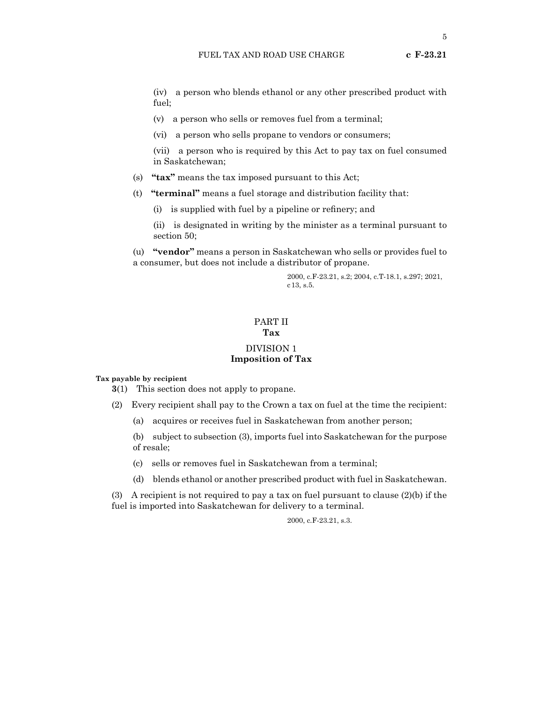(iv) a person who blends ethanol or any other prescribed product with fuel;

(v) a person who sells or removes fuel from a terminal;

(vi) a person who sells propane to vendors or consumers;

(vii) a person who is required by this Act to pay tax on fuel consumed in Saskatchewan;

(s) **"tax"** means the tax imposed pursuant to this Act;

- (t) **"terminal"** means a fuel storage and distribution facility that:
	- (i) is supplied with fuel by a pipeline or refinery; and
	- (ii) is designated in writing by the minister as a terminal pursuant to section 50;

(u) **"vendor"** means a person in Saskatchewan who sells or provides fuel to a consumer, but does not include a distributor of propane.

> 2000, c.F-23.21, s.2; 2004, c.T-18.1, s.297; 2021, c13, s.5.

# PART II **Tax**

# DIVISION 1 **Imposition of Tax**

**Tax payable by recipient**

**3**(1) This section does not apply to propane.

- (2) Every recipient shall pay to the Crown a tax on fuel at the time the recipient:
	- (a) acquires or receives fuel in Saskatchewan from another person;

(b) subject to subsection (3), imports fuel into Saskatchewan for the purpose of resale;

- (c) sells or removes fuel in Saskatchewan from a terminal;
- (d) blends ethanol or another prescribed product with fuel in Saskatchewan.

(3) A recipient is not required to pay a tax on fuel pursuant to clause  $(2)(b)$  if the fuel is imported into Saskatchewan for delivery to a terminal.

# 2000, c.F-23.21, s.3.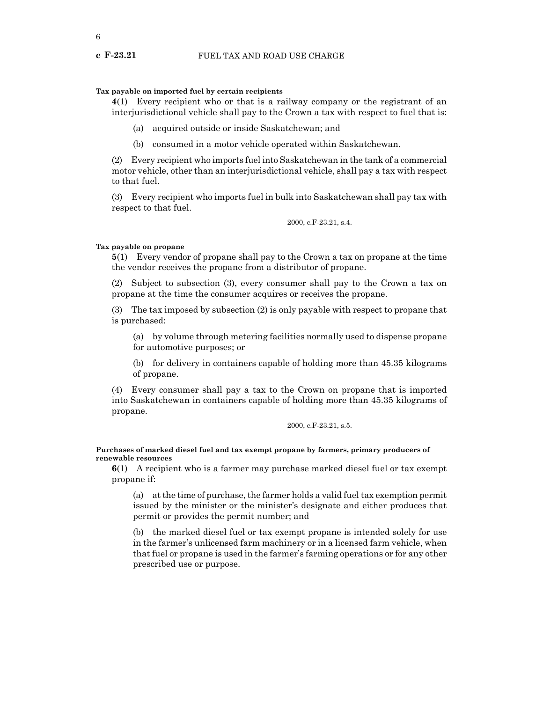# **Tax payable on imported fuel by certain recipients**

**4**(1) Every recipient who or that is a railway company or the registrant of an interjurisdictional vehicle shall pay to the Crown a tax with respect to fuel that is:

- (a) acquired outside or inside Saskatchewan; and
- (b) consumed in a motor vehicle operated within Saskatchewan.

(2) Every recipient who imports fuel into Saskatchewan in the tank of a commercial motor vehicle, other than an interjurisdictional vehicle, shall pay a tax with respect to that fuel.

(3) Every recipient who imports fuel in bulk into Saskatchewan shall pay tax with respect to that fuel.

2000, c.F-23.21, s.4.

# **Tax payable on propane**

**5**(1) Every vendor of propane shall pay to the Crown a tax on propane at the time the vendor receives the propane from a distributor of propane.

(2) Subject to subsection (3), every consumer shall pay to the Crown a tax on propane at the time the consumer acquires or receives the propane.

(3) The tax imposed by subsection (2) is only payable with respect to propane that is purchased:

(a) by volume through metering facilities normally used to dispense propane for automotive purposes; or

(b) for delivery in containers capable of holding more than 45.35 kilograms of propane.

(4) Every consumer shall pay a tax to the Crown on propane that is imported into Saskatchewan in containers capable of holding more than 45.35 kilograms of propane.

2000, c.F-23.21, s.5.

# **Purchases of marked diesel fuel and tax exempt propane by farmers, primary producers of renewable resources**

**6**(1) A recipient who is a farmer may purchase marked diesel fuel or tax exempt propane if:

(a) at the time of purchase, the farmer holds a valid fuel tax exemption permit issued by the minister or the minister's designate and either produces that permit or provides the permit number; and

(b) the marked diesel fuel or tax exempt propane is intended solely for use in the farmer's unlicensed farm machinery or in a licensed farm vehicle, when that fuel or propane is used in the farmer's farming operations or for any other prescribed use or purpose.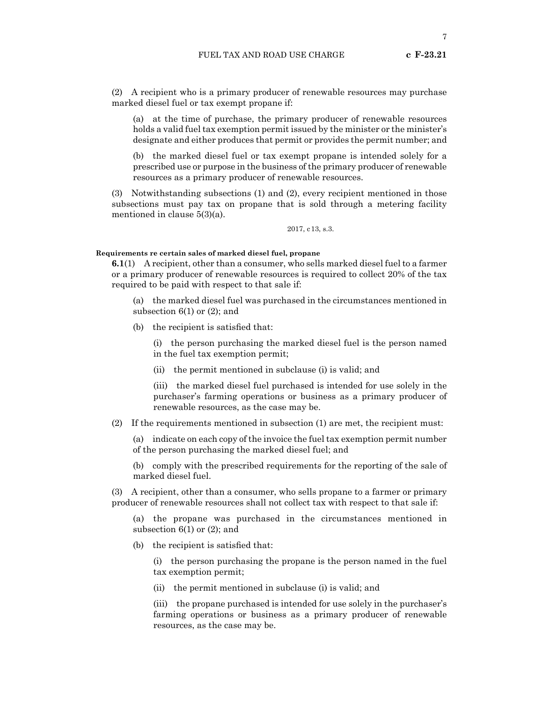(2) A recipient who is a primary producer of renewable resources may purchase marked diesel fuel or tax exempt propane if:

(a) at the time of purchase, the primary producer of renewable resources holds a valid fuel tax exemption permit issued by the minister or the minister's designate and either produces that permit or provides the permit number; and

(b) the marked diesel fuel or tax exempt propane is intended solely for a prescribed use or purpose in the business of the primary producer of renewable resources as a primary producer of renewable resources.

(3) Notwithstanding subsections (1) and (2), every recipient mentioned in those subsections must pay tax on propane that is sold through a metering facility mentioned in clause 5(3)(a).

2017, c13, s.3.

# **Requirements re certain sales of marked diesel fuel, propane**

**6.1**(1) A recipient, other than a consumer, who sells marked diesel fuel to a farmer or a primary producer of renewable resources is required to collect 20% of the tax required to be paid with respect to that sale if:

(a) the marked diesel fuel was purchased in the circumstances mentioned in subsection  $6(1)$  or  $(2)$ ; and

(b) the recipient is satisfied that:

(i) the person purchasing the marked diesel fuel is the person named in the fuel tax exemption permit;

(ii) the permit mentioned in subclause (i) is valid; and

(iii) the marked diesel fuel purchased is intended for use solely in the purchaser's farming operations or business as a primary producer of renewable resources, as the case may be.

(2) If the requirements mentioned in subsection (1) are met, the recipient must:

(a) indicate on each copy of the invoice the fuel tax exemption permit number of the person purchasing the marked diesel fuel; and

(b) comply with the prescribed requirements for the reporting of the sale of marked diesel fuel.

(3) A recipient, other than a consumer, who sells propane to a farmer or primary producer of renewable resources shall not collect tax with respect to that sale if:

(a) the propane was purchased in the circumstances mentioned in subsection  $6(1)$  or  $(2)$ ; and

(b) the recipient is satisfied that:

(i) the person purchasing the propane is the person named in the fuel tax exemption permit;

(ii) the permit mentioned in subclause (i) is valid; and

(iii) the propane purchased is intended for use solely in the purchaser's farming operations or business as a primary producer of renewable resources, as the case may be.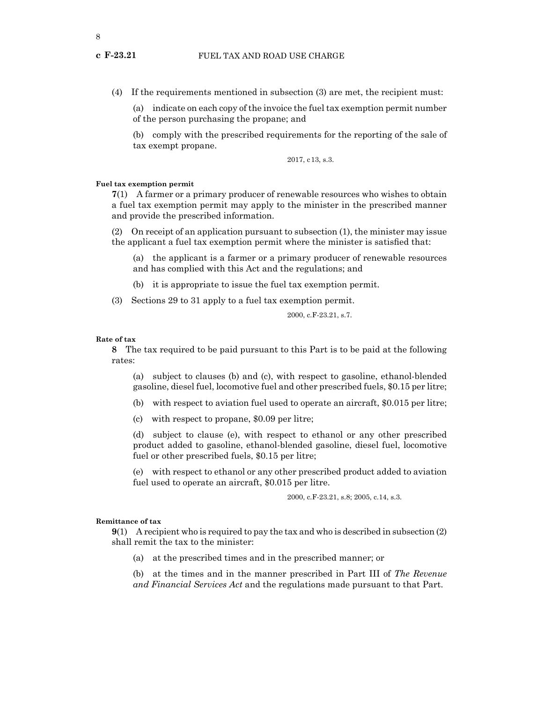(4) If the requirements mentioned in subsection (3) are met, the recipient must:

(a) indicate on each copy of the invoice the fuel tax exemption permit number of the person purchasing the propane; and

(b) comply with the prescribed requirements for the reporting of the sale of tax exempt propane.

2017, c13, s.3.

# **Fuel tax exemption permit**

**7**(1) A farmer or a primary producer of renewable resources who wishes to obtain a fuel tax exemption permit may apply to the minister in the prescribed manner and provide the prescribed information.

(2) On receipt of an application pursuant to subsection (1), the minister may issue the applicant a fuel tax exemption permit where the minister is satisfied that:

(a) the applicant is a farmer or a primary producer of renewable resources and has complied with this Act and the regulations; and

(b) it is appropriate to issue the fuel tax exemption permit.

(3) Sections 29 to 31 apply to a fuel tax exemption permit.

2000, c.F-23.21, s.7.

#### **Rate of tax**

**8** The tax required to be paid pursuant to this Part is to be paid at the following rates:

(a) subject to clauses (b) and (c), with respect to gasoline, ethanol-blended gasoline, diesel fuel, locomotive fuel and other prescribed fuels, \$0.15 per litre;

- (b) with respect to aviation fuel used to operate an aircraft, \$0.015 per litre;
- (c) with respect to propane, \$0.09 per litre;

(d) subject to clause (e), with respect to ethanol or any other prescribed product added to gasoline, ethanol-blended gasoline, diesel fuel, locomotive fuel or other prescribed fuels, \$0.15 per litre;

(e) with respect to ethanol or any other prescribed product added to aviation fuel used to operate an aircraft, \$0.015 per litre.

2000, c.F-23.21, s.8; 2005, c.14, s.3.

#### **Remittance of tax**

**9**(1) A recipient who is required to pay the tax and who is described in subsection (2) shall remit the tax to the minister:

(a) at the prescribed times and in the prescribed manner; or

(b) at the times and in the manner prescribed in Part III of *The Revenue and Financial Services Act* and the regulations made pursuant to that Part.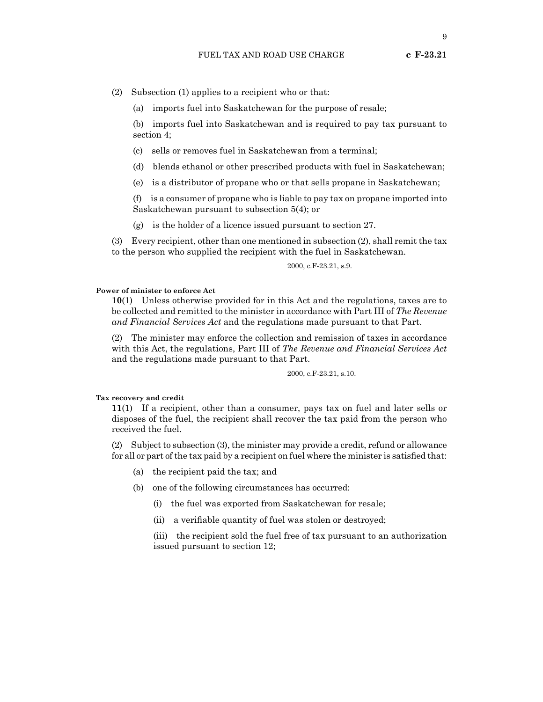(2) Subsection (1) applies to a recipient who or that:

(a) imports fuel into Saskatchewan for the purpose of resale;

(b) imports fuel into Saskatchewan and is required to pay tax pursuant to section 4;

(c) sells or removes fuel in Saskatchewan from a terminal;

(d) blends ethanol or other prescribed products with fuel in Saskatchewan;

(e) is a distributor of propane who or that sells propane in Saskatchewan;

(f) is a consumer of propane who is liable to pay tax on propane imported into Saskatchewan pursuant to subsection 5(4); or

(g) is the holder of a licence issued pursuant to section 27.

(3) Every recipient, other than one mentioned in subsection (2), shall remit the tax to the person who supplied the recipient with the fuel in Saskatchewan.

2000, c.F-23.21, s.9.

# **Power of minister to enforce Act**

**10**(1) Unless otherwise provided for in this Act and the regulations, taxes are to be collected and remitted to the minister in accordance with Part III of *The Revenue and Financial Services Act* and the regulations made pursuant to that Part.

(2) The minister may enforce the collection and remission of taxes in accordance with this Act, the regulations, Part III of *The Revenue and Financial Services Act* and the regulations made pursuant to that Part.

2000, c.F-23.21, s.10.

# **Tax recovery and credit**

**11**(1) If a recipient, other than a consumer, pays tax on fuel and later sells or disposes of the fuel, the recipient shall recover the tax paid from the person who received the fuel.

(2) Subject to subsection (3), the minister may provide a credit, refund or allowance for all or part of the tax paid by a recipient on fuel where the minister is satisfied that:

- (a) the recipient paid the tax; and
- (b) one of the following circumstances has occurred:
	- (i) the fuel was exported from Saskatchewan for resale;
	- (ii) a verifiable quantity of fuel was stolen or destroyed;

(iii) the recipient sold the fuel free of tax pursuant to an authorization issued pursuant to section 12;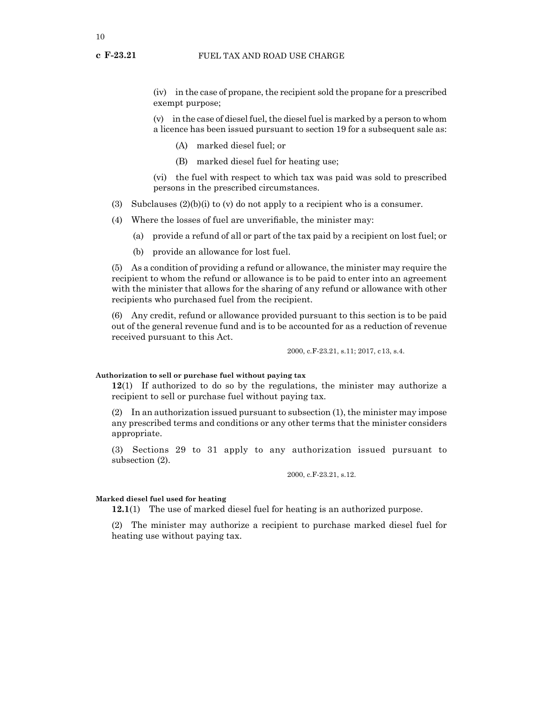# **c F-23.21** FUEL TAX AND ROAD USE CHARGE

(iv) in the case of propane, the recipient sold the propane for a prescribed exempt purpose;

(v) in the case of diesel fuel, the diesel fuel is marked by a person to whom a licence has been issued pursuant to section 19 for a subsequent sale as:

- (A) marked diesel fuel; or
- (B) marked diesel fuel for heating use;

(vi) the fuel with respect to which tax was paid was sold to prescribed persons in the prescribed circumstances.

- (3) Subclauses  $(2)(b)(i)$  to  $(v)$  do not apply to a recipient who is a consumer.
- (4) Where the losses of fuel are unverifiable, the minister may:
	- (a) provide a refund of all or part of the tax paid by a recipient on lost fuel; or
	- (b) provide an allowance for lost fuel.

(5) As a condition of providing a refund or allowance, the minister may require the recipient to whom the refund or allowance is to be paid to enter into an agreement with the minister that allows for the sharing of any refund or allowance with other recipients who purchased fuel from the recipient.

(6) Any credit, refund or allowance provided pursuant to this section is to be paid out of the general revenue fund and is to be accounted for as a reduction of revenue received pursuant to this Act.

2000, c.F-23.21, s.11; 2017, c13, s.4.

# **Authorization to sell or purchase fuel without paying tax**

**12**(1) If authorized to do so by the regulations, the minister may authorize a recipient to sell or purchase fuel without paying tax.

(2) In an authorization issued pursuant to subsection (1), the minister may impose any prescribed terms and conditions or any other terms that the minister considers appropriate.

(3) Sections 29 to 31 apply to any authorization issued pursuant to subsection (2).

2000, c.F-23.21, s.12.

# **Marked diesel fuel used for heating**

**12.1**(1) The use of marked diesel fuel for heating is an authorized purpose.

(2) The minister may authorize a recipient to purchase marked diesel fuel for heating use without paying tax.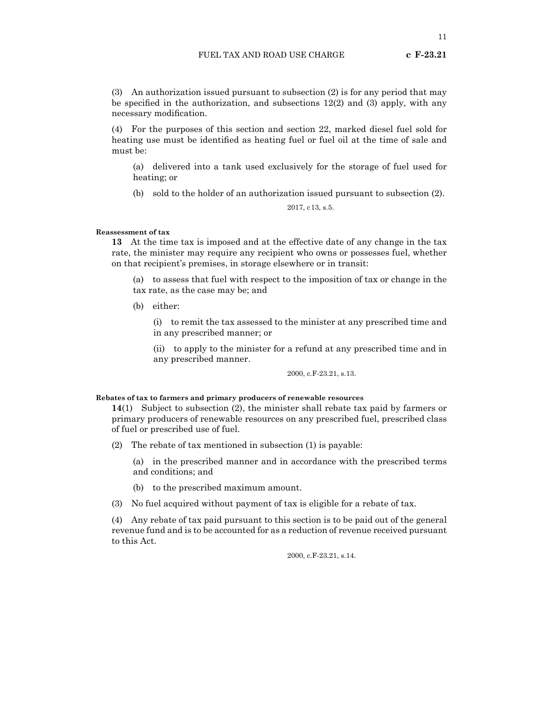11

(3) An authorization issued pursuant to subsection (2) is for any period that may be specified in the authorization, and subsections 12(2) and (3) apply, with any necessary modification.

(4) For the purposes of this section and section 22, marked diesel fuel sold for heating use must be identified as heating fuel or fuel oil at the time of sale and must be:

(a) delivered into a tank used exclusively for the storage of fuel used for heating; or

(b) sold to the holder of an authorization issued pursuant to subsection (2).

2017, c13, s.5.

#### **Reassessment of tax**

**13** At the time tax is imposed and at the effective date of any change in the tax rate, the minister may require any recipient who owns or possesses fuel, whether on that recipient's premises, in storage elsewhere or in transit:

(a) to assess that fuel with respect to the imposition of tax or change in the tax rate, as the case may be; and

(b) either:

(i) to remit the tax assessed to the minister at any prescribed time and in any prescribed manner; or

(ii) to apply to the minister for a refund at any prescribed time and in any prescribed manner.

2000, c.F-23.21, s.13.

# **Rebates of tax to farmers and primary producers of renewable resources**

**14**(1) Subject to subsection (2), the minister shall rebate tax paid by farmers or primary producers of renewable resources on any prescribed fuel, prescribed class of fuel or prescribed use of fuel.

- (2) The rebate of tax mentioned in subsection (1) is payable:
	- (a) in the prescribed manner and in accordance with the prescribed terms and conditions; and
	- (b) to the prescribed maximum amount.
- (3) No fuel acquired without payment of tax is eligible for a rebate of tax.

(4) Any rebate of tax paid pursuant to this section is to be paid out of the general revenue fund and is to be accounted for as a reduction of revenue received pursuant to this Act.

2000, c.F-23.21, s.14.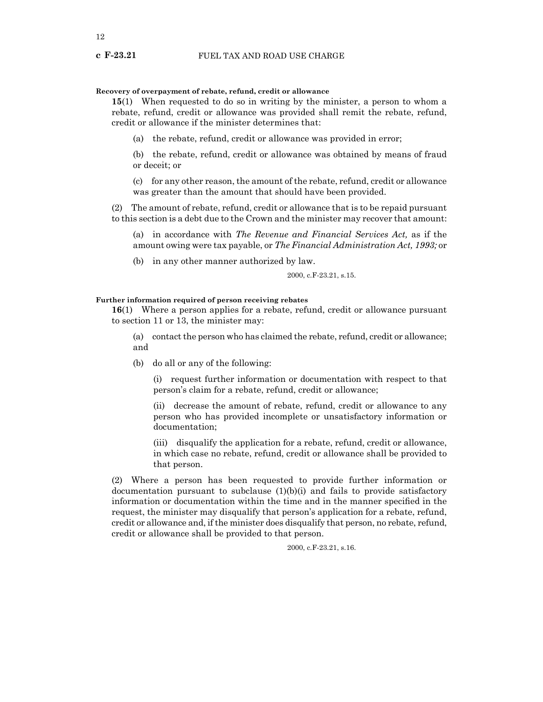# **Recovery of overpayment of rebate, refund, credit or allowance**

**15**(1) When requested to do so in writing by the minister, a person to whom a rebate, refund, credit or allowance was provided shall remit the rebate, refund, credit or allowance if the minister determines that:

(a) the rebate, refund, credit or allowance was provided in error;

(b) the rebate, refund, credit or allowance was obtained by means of fraud or deceit; or

(c) for any other reason, the amount of the rebate, refund, credit or allowance was greater than the amount that should have been provided.

(2) The amount of rebate, refund, credit or allowance that is to be repaid pursuant to this section is a debt due to the Crown and the minister may recover that amount:

(a) in accordance with *The Revenue and Financial Services Act,* as if the amount owing were tax payable, or *The Financial Administration Act, 1993;* or

(b) in any other manner authorized by law.

2000, c.F-23.21, s.15.

# **Further information required of person receiving rebates**

**16**(1) Where a person applies for a rebate, refund, credit or allowance pursuant to section 11 or 13, the minister may:

(a) contact the person who has claimed the rebate, refund, credit or allowance; and

(b) do all or any of the following:

(i) request further information or documentation with respect to that person's claim for a rebate, refund, credit or allowance;

(ii) decrease the amount of rebate, refund, credit or allowance to any person who has provided incomplete or unsatisfactory information or documentation;

(iii) disqualify the application for a rebate, refund, credit or allowance, in which case no rebate, refund, credit or allowance shall be provided to that person.

(2) Where a person has been requested to provide further information or documentation pursuant to subclause  $(1)(b)(i)$  and fails to provide satisfactory information or documentation within the time and in the manner specified in the request, the minister may disqualify that person's application for a rebate, refund, credit or allowance and, if the minister does disqualify that person, no rebate, refund, credit or allowance shall be provided to that person.

2000, c.F-23.21, s.16.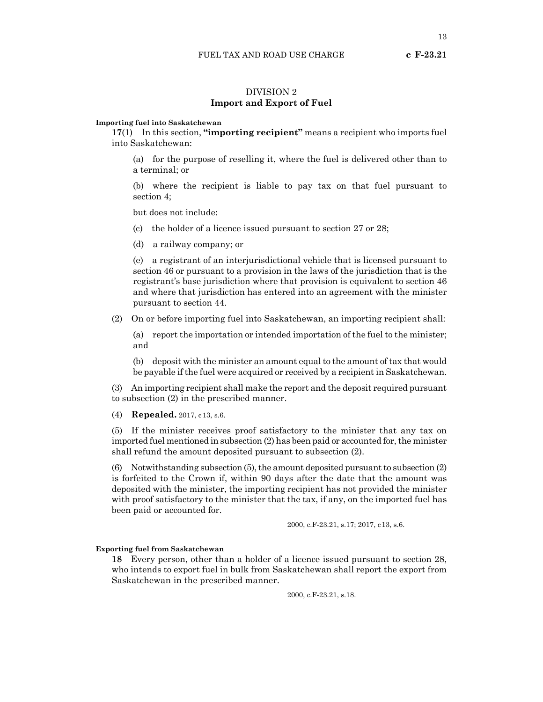# DIVISION 2 **Import and Export of Fuel**

# **Importing fuel into Saskatchewan**

**17**(1) In this section, **"importing recipient"** means a recipient who imports fuel into Saskatchewan:

(a) for the purpose of reselling it, where the fuel is delivered other than to a terminal; or

(b) where the recipient is liable to pay tax on that fuel pursuant to section 4;

but does not include:

(c) the holder of a licence issued pursuant to section 27 or 28;

(d) a railway company; or

(e) a registrant of an interjurisdictional vehicle that is licensed pursuant to section 46 or pursuant to a provision in the laws of the jurisdiction that is the registrant's base jurisdiction where that provision is equivalent to section 46 and where that jurisdiction has entered into an agreement with the minister pursuant to section 44.

(2) On or before importing fuel into Saskatchewan, an importing recipient shall:

(a) report the importation or intended importation of the fuel to the minister; and

(b) deposit with the minister an amount equal to the amount of tax that would be payable if the fuel were acquired or received by a recipient in Saskatchewan.

(3) An importing recipient shall make the report and the deposit required pursuant to subsection (2) in the prescribed manner.

(4) **Repealed.** 2017, c13, s.6.

(5) If the minister receives proof satisfactory to the minister that any tax on imported fuel mentioned in subsection (2) has been paid or accounted for, the minister shall refund the amount deposited pursuant to subsection (2).

(6) Notwithstanding subsection (5), the amount deposited pursuant to subsection (2) is forfeited to the Crown if, within 90 days after the date that the amount was deposited with the minister, the importing recipient has not provided the minister with proof satisfactory to the minister that the tax, if any, on the imported fuel has been paid or accounted for.

2000, c.F-23.21, s.17; 2017, c13, s.6.

# **Exporting fuel from Saskatchewan**

**18** Every person, other than a holder of a licence issued pursuant to section 28, who intends to export fuel in bulk from Saskatchewan shall report the export from Saskatchewan in the prescribed manner.

2000, c.F-23.21, s.18.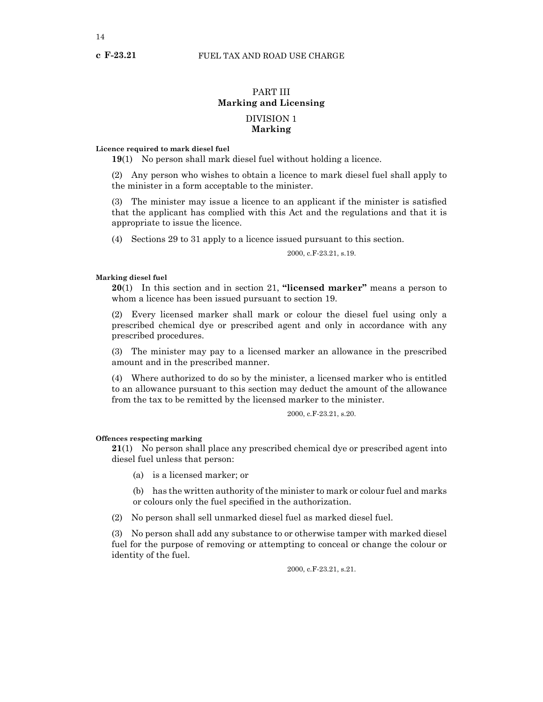# PART III **Marking and Licensing** DIVISION 1 **Marking**

# **Licence required to mark diesel fuel**

**19**(1) No person shall mark diesel fuel without holding a licence.

(2) Any person who wishes to obtain a licence to mark diesel fuel shall apply to the minister in a form acceptable to the minister.

(3) The minister may issue a licence to an applicant if the minister is satisfied that the applicant has complied with this Act and the regulations and that it is appropriate to issue the licence.

(4) Sections 29 to 31 apply to a licence issued pursuant to this section.

2000, c.F-23.21, s.19.

# **Marking diesel fuel**

**20**(1) In this section and in section 21, **"licensed marker"** means a person to whom a licence has been issued pursuant to section 19.

(2) Every licensed marker shall mark or colour the diesel fuel using only a prescribed chemical dye or prescribed agent and only in accordance with any prescribed procedures.

(3) The minister may pay to a licensed marker an allowance in the prescribed amount and in the prescribed manner.

(4) Where authorized to do so by the minister, a licensed marker who is entitled to an allowance pursuant to this section may deduct the amount of the allowance from the tax to be remitted by the licensed marker to the minister.

2000, c.F-23.21, s.20.

# **Offences respecting marking**

**21**(1) No person shall place any prescribed chemical dye or prescribed agent into diesel fuel unless that person:

(a) is a licensed marker; or

(b) has the written authority of the minister to mark or colour fuel and marks or colours only the fuel specified in the authorization.

(2) No person shall sell unmarked diesel fuel as marked diesel fuel.

(3) No person shall add any substance to or otherwise tamper with marked diesel fuel for the purpose of removing or attempting to conceal or change the colour or identity of the fuel.

2000, c.F-23.21, s.21.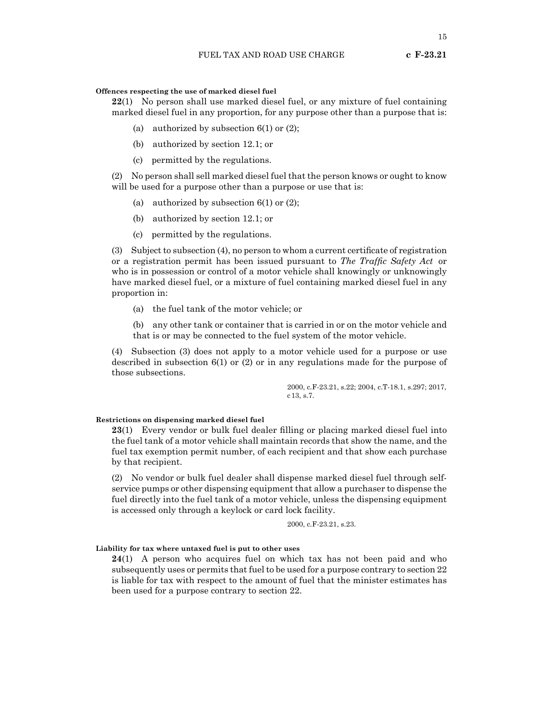# **Offences respecting the use of marked diesel fuel**

**22**(1) No person shall use marked diesel fuel, or any mixture of fuel containing marked diesel fuel in any proportion, for any purpose other than a purpose that is:

- (a) authorized by subsection  $6(1)$  or  $(2)$ ;
- (b) authorized by section 12.1; or
- (c) permitted by the regulations.

(2) No person shall sell marked diesel fuel that the person knows or ought to know will be used for a purpose other than a purpose or use that is:

- (a) authorized by subsection  $6(1)$  or  $(2)$ ;
- (b) authorized by section 12.1; or
- (c) permitted by the regulations.

(3) Subject to subsection (4), no person to whom a current certificate of registration or a registration permit has been issued pursuant to *The Traffic Safety Act* or who is in possession or control of a motor vehicle shall knowingly or unknowingly have marked diesel fuel, or a mixture of fuel containing marked diesel fuel in any proportion in:

(a) the fuel tank of the motor vehicle; or

(b) any other tank or container that is carried in or on the motor vehicle and that is or may be connected to the fuel system of the motor vehicle.

(4) Subsection (3) does not apply to a motor vehicle used for a purpose or use described in subsection 6(1) or (2) or in any regulations made for the purpose of those subsections.

> 2000, c.F-23.21, s.22; 2004, c.T-18.1, s.297; 2017, c13, s.7.

# **Restrictions on dispensing marked diesel fuel**

**23**(1) Every vendor or bulk fuel dealer filling or placing marked diesel fuel into the fuel tank of a motor vehicle shall maintain records that show the name, and the fuel tax exemption permit number, of each recipient and that show each purchase by that recipient.

(2) No vendor or bulk fuel dealer shall dispense marked diesel fuel through selfservice pumps or other dispensing equipment that allow a purchaser to dispense the fuel directly into the fuel tank of a motor vehicle, unless the dispensing equipment is accessed only through a keylock or card lock facility.

2000, c.F-23.21, s.23.

# **Liability for tax where untaxed fuel is put to other uses**

**24**(1) A person who acquires fuel on which tax has not been paid and who subsequently uses or permits that fuel to be used for a purpose contrary to section 22 is liable for tax with respect to the amount of fuel that the minister estimates has been used for a purpose contrary to section 22.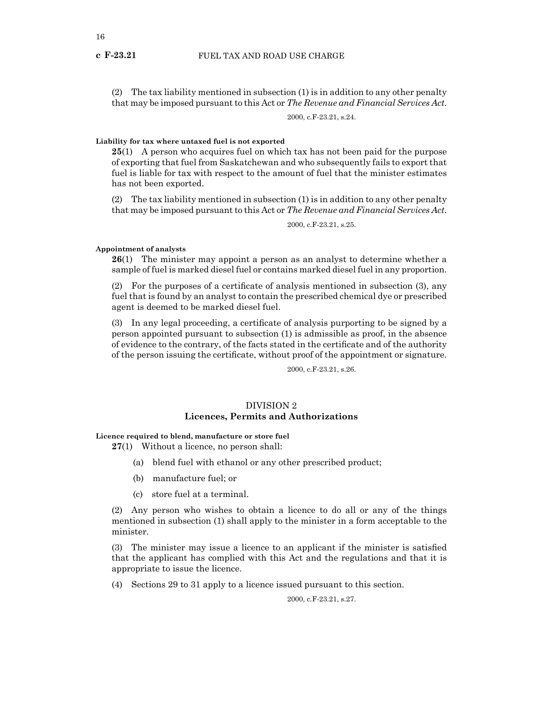(2) The tax liability mentioned in subsection (1) is in addition to any other penalty that may be imposed pursuant to this Act or *The Revenue and Financial Services Act*.

2000, c.F-23.21, s.24.

# **Liability for tax where untaxed fuel is not exported**

**25**(1) A person who acquires fuel on which tax has not been paid for the purpose of exporting that fuel from Saskatchewan and who subsequently fails to export that fuel is liable for tax with respect to the amount of fuel that the minister estimates has not been exported.

(2) The tax liability mentioned in subsection (1) is in addition to any other penalty that may be imposed pursuant to this Act or *The Revenue and Financial Services Act*.

2000, c.F-23.21, s.25.

# **Appointment of analysts**

**26**(1) The minister may appoint a person as an analyst to determine whether a sample of fuel is marked diesel fuel or contains marked diesel fuel in any proportion.

(2) For the purposes of a certificate of analysis mentioned in subsection (3), any fuel that is found by an analyst to contain the prescribed chemical dye or prescribed agent is deemed to be marked diesel fuel.

(3) In any legal proceeding, a certificate of analysis purporting to be signed by a person appointed pursuant to subsection (1) is admissible as proof, in the absence of evidence to the contrary, of the facts stated in the certificate and of the authority of the person issuing the certificate, without proof of the appointment or signature.

2000, c.F-23.21, s.26.

# DIVISION 2 **Licences, Permits and Authorizations**

# **Licence required to blend, manufacture or store fuel**

**27**(1) Without a licence, no person shall:

- (a) blend fuel with ethanol or any other prescribed product;
- (b) manufacture fuel; or
- (c) store fuel at a terminal.

(2) Any person who wishes to obtain a licence to do all or any of the things mentioned in subsection (1) shall apply to the minister in a form acceptable to the minister.

(3) The minister may issue a licence to an applicant if the minister is satisfied that the applicant has complied with this Act and the regulations and that it is appropriate to issue the licence.

(4) Sections 29 to 31 apply to a licence issued pursuant to this section.

2000, c.F-23.21, s.27.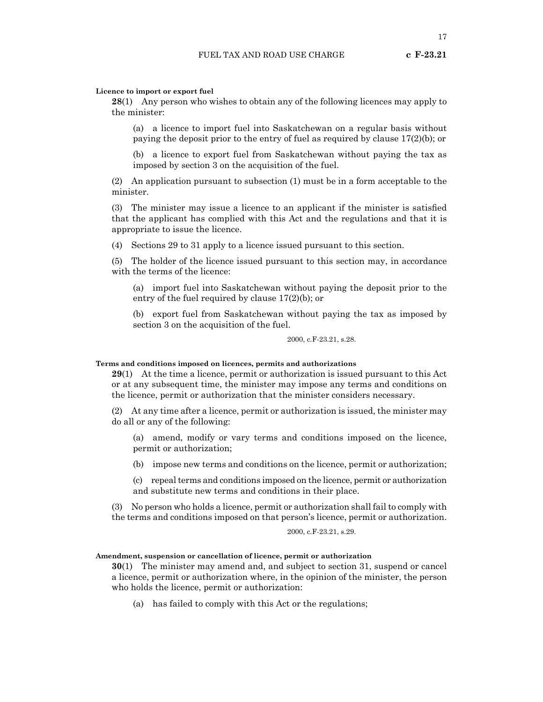# **Licence to import or export fuel**

**28**(1) Any person who wishes to obtain any of the following licences may apply to the minister:

(a) a licence to import fuel into Saskatchewan on a regular basis without paying the deposit prior to the entry of fuel as required by clause 17(2)(b); or

(b) a licence to export fuel from Saskatchewan without paying the tax as imposed by section 3 on the acquisition of the fuel.

(2) An application pursuant to subsection (1) must be in a form acceptable to the minister.

(3) The minister may issue a licence to an applicant if the minister is satisfied that the applicant has complied with this Act and the regulations and that it is appropriate to issue the licence.

(4) Sections 29 to 31 apply to a licence issued pursuant to this section.

(5) The holder of the licence issued pursuant to this section may, in accordance with the terms of the licence:

(a) import fuel into Saskatchewan without paying the deposit prior to the entry of the fuel required by clause 17(2)(b); or

(b) export fuel from Saskatchewan without paying the tax as imposed by section 3 on the acquisition of the fuel.

2000, c.F-23.21, s.28.

#### **Terms and conditions imposed on licences, permits and authorizations**

**29**(1) At the time a licence, permit or authorization is issued pursuant to this Act or at any subsequent time, the minister may impose any terms and conditions on the licence, permit or authorization that the minister considers necessary.

(2) At any time after a licence, permit or authorization is issued, the minister may do all or any of the following:

(a) amend, modify or vary terms and conditions imposed on the licence, permit or authorization;

(b) impose new terms and conditions on the licence, permit or authorization;

(c) repeal terms and conditions imposed on the licence, permit or authorization and substitute new terms and conditions in their place.

(3) No person who holds a licence, permit or authorization shall fail to comply with the terms and conditions imposed on that person's licence, permit or authorization.

# 2000, c.F-23.21, s.29.

# **Amendment, suspension or cancellation of licence, permit or authorization**

**30**(1) The minister may amend and, and subject to section 31, suspend or cancel a licence, permit or authorization where, in the opinion of the minister, the person who holds the licence, permit or authorization:

(a) has failed to comply with this Act or the regulations;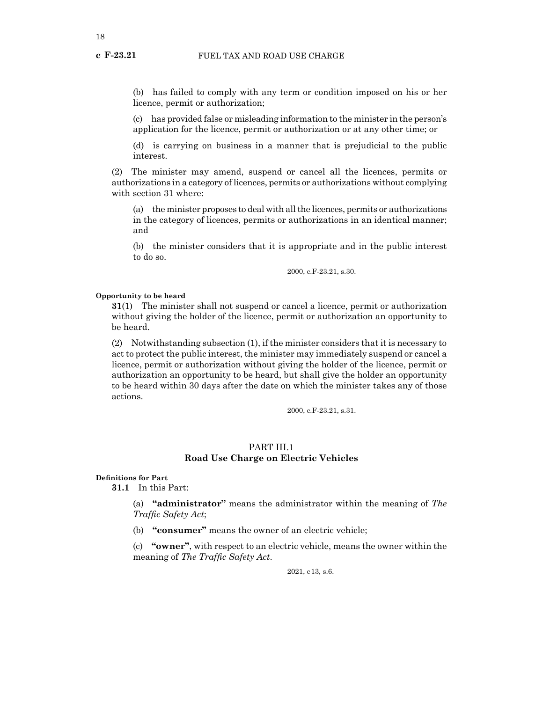(b) has failed to comply with any term or condition imposed on his or her licence, permit or authorization;

(c) has provided false or misleading information to the minister in the person's application for the licence, permit or authorization or at any other time; or

(d) is carrying on business in a manner that is prejudicial to the public interest.

(2) The minister may amend, suspend or cancel all the licences, permits or authorizations in a category of licences, permits or authorizations without complying with section 31 where:

(a) the minister proposes to deal with all the licences, permits or authorizations in the category of licences, permits or authorizations in an identical manner; and

(b) the minister considers that it is appropriate and in the public interest to do so.

2000, c.F-23.21, s.30.

# **Opportunity to be heard**

**31**(1) The minister shall not suspend or cancel a licence, permit or authorization without giving the holder of the licence, permit or authorization an opportunity to be heard.

(2) Notwithstanding subsection (1), if the minister considers that it is necessary to act to protect the public interest, the minister may immediately suspend or cancel a licence, permit or authorization without giving the holder of the licence, permit or authorization an opportunity to be heard, but shall give the holder an opportunity to be heard within 30 days after the date on which the minister takes any of those actions.

2000, c.F-23.21, s.31.

# PART III.1 **Road Use Charge on Electric Vehicles**

# **Definitions for Part**

**31.1** In this Part:

(a) **"administrator"** means the administrator within the meaning of *The Traffic Safety Act*;

(b) **"consumer"** means the owner of an electric vehicle;

(c) **"owner"**, with respect to an electric vehicle, means the owner within the meaning of *The Traffic Safety Act*.

2021, c13, s.6.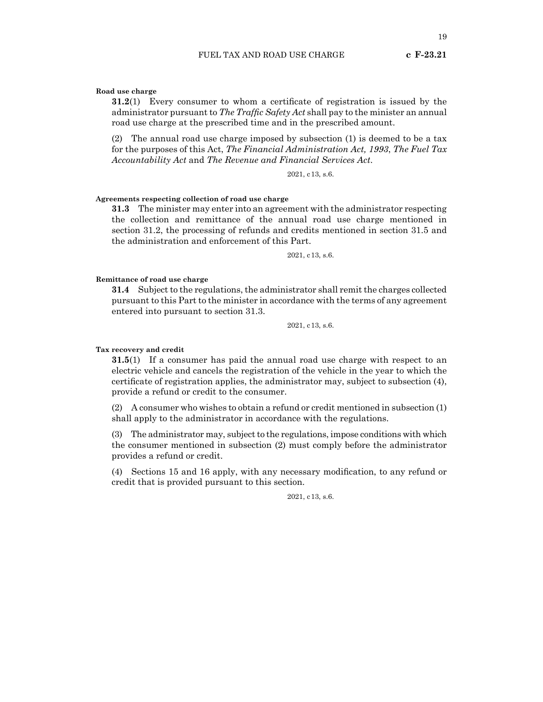# **Road use charge**

**31.2**(1) Every consumer to whom a certificate of registration is issued by the administrator pursuant to *The Traffic Safety Act* shall pay to the minister an annual road use charge at the prescribed time and in the prescribed amount.

(2) The annual road use charge imposed by subsection (1) is deemed to be a tax for the purposes of this Act, *The Financial Administration Act, 1993*, *The Fuel Tax Accountability Act* and *The Revenue and Financial Services Act*.

2021, c13, s.6.

# **Agreements respecting collection of road use charge**

**31.3** The minister may enter into an agreement with the administrator respecting the collection and remittance of the annual road use charge mentioned in section 31.2, the processing of refunds and credits mentioned in section 31.5 and the administration and enforcement of this Part.

2021, c13, s.6.

# **Remittance of road use charge**

**31.4** Subject to the regulations, the administrator shall remit the charges collected pursuant to this Part to the minister in accordance with the terms of any agreement entered into pursuant to section 31.3.

2021, c13, s.6.

# **Tax recovery and credit**

**31.5**(1) If a consumer has paid the annual road use charge with respect to an electric vehicle and cancels the registration of the vehicle in the year to which the certificate of registration applies, the administrator may, subject to subsection (4), provide a refund or credit to the consumer.

(2) A consumer who wishes to obtain a refund or credit mentioned in subsection (1) shall apply to the administrator in accordance with the regulations.

(3) The administrator may, subject to the regulations, impose conditions with which the consumer mentioned in subsection (2) must comply before the administrator provides a refund or credit.

(4) Sections 15 and 16 apply, with any necessary modification, to any refund or credit that is provided pursuant to this section.

2021, c13, s.6.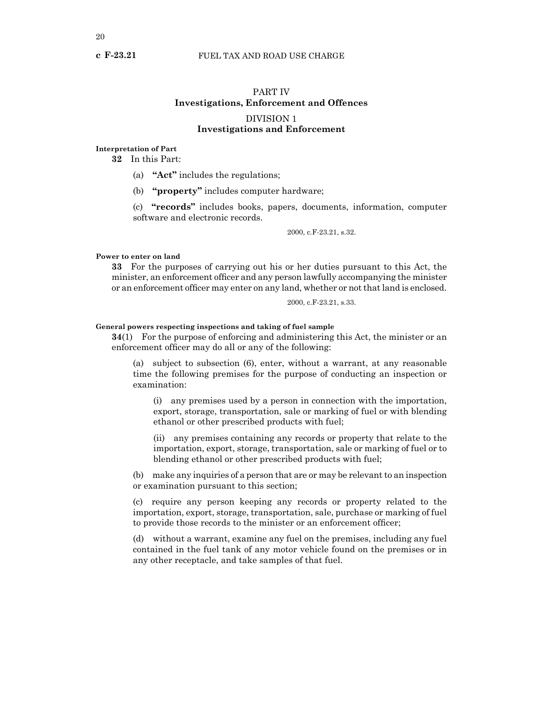# PART IV **Investigations, Enforcement and Offences** DIVISION 1 **Investigations and Enforcement**

# **Interpretation of Part**

**32** In this Part:

(a) **"Act"** includes the regulations;

(b) **"property"** includes computer hardware;

(c) **"records"** includes books, papers, documents, information, computer software and electronic records.

2000, c.F-23.21, s.32.

# **Power to enter on land**

**33** For the purposes of carrying out his or her duties pursuant to this Act, the minister, an enforcement officer and any person lawfully accompanying the minister or an enforcement officer may enter on any land, whether or not that land is enclosed.

2000, c.F-23.21, s.33.

# **General powers respecting inspections and taking of fuel sample**

**34**(1) For the purpose of enforcing and administering this Act, the minister or an enforcement officer may do all or any of the following:

(a) subject to subsection (6), enter, without a warrant, at any reasonable time the following premises for the purpose of conducting an inspection or examination:

(i) any premises used by a person in connection with the importation, export, storage, transportation, sale or marking of fuel or with blending ethanol or other prescribed products with fuel;

(ii) any premises containing any records or property that relate to the importation, export, storage, transportation, sale or marking of fuel or to blending ethanol or other prescribed products with fuel;

(b) make any inquiries of a person that are or may be relevant to an inspection or examination pursuant to this section;

(c) require any person keeping any records or property related to the importation, export, storage, transportation, sale, purchase or marking of fuel to provide those records to the minister or an enforcement officer;

(d) without a warrant, examine any fuel on the premises, including any fuel contained in the fuel tank of any motor vehicle found on the premises or in any other receptacle, and take samples of that fuel.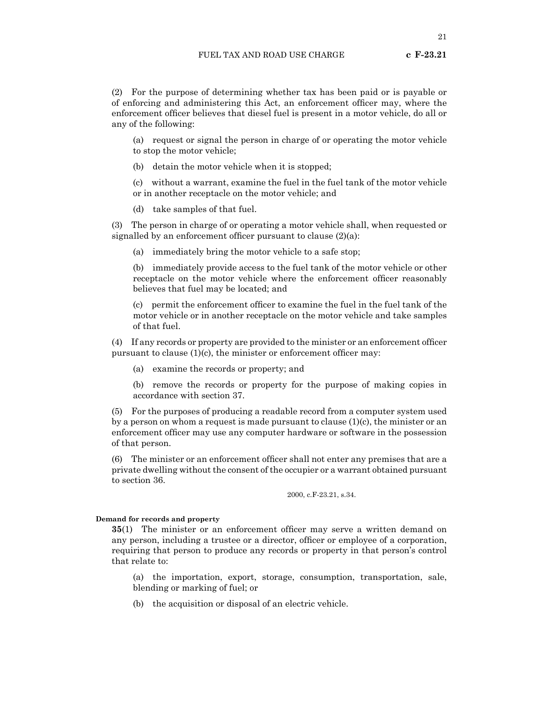21

(2) For the purpose of determining whether tax has been paid or is payable or of enforcing and administering this Act, an enforcement officer may, where the enforcement officer believes that diesel fuel is present in a motor vehicle, do all or any of the following:

(a) request or signal the person in charge of or operating the motor vehicle to stop the motor vehicle;

(b) detain the motor vehicle when it is stopped;

(c) without a warrant, examine the fuel in the fuel tank of the motor vehicle or in another receptacle on the motor vehicle; and

(d) take samples of that fuel.

(3) The person in charge of or operating a motor vehicle shall, when requested or signalled by an enforcement officer pursuant to clause  $(2)(a)$ :

(a) immediately bring the motor vehicle to a safe stop;

(b) immediately provide access to the fuel tank of the motor vehicle or other receptacle on the motor vehicle where the enforcement officer reasonably believes that fuel may be located; and

(c) permit the enforcement officer to examine the fuel in the fuel tank of the motor vehicle or in another receptacle on the motor vehicle and take samples of that fuel.

(4) If any records or property are provided to the minister or an enforcement officer pursuant to clause (1)(c), the minister or enforcement officer may:

(a) examine the records or property; and

(b) remove the records or property for the purpose of making copies in accordance with section 37.

(5) For the purposes of producing a readable record from a computer system used by a person on whom a request is made pursuant to clause  $(1)(c)$ , the minister or an enforcement officer may use any computer hardware or software in the possession of that person.

(6) The minister or an enforcement officer shall not enter any premises that are a private dwelling without the consent of the occupier or a warrant obtained pursuant to section 36.

2000, c.F-23.21, s.34.

# **Demand for records and property**

**35**(1) The minister or an enforcement officer may serve a written demand on any person, including a trustee or a director, officer or employee of a corporation, requiring that person to produce any records or property in that person's control that relate to:

(a) the importation, export, storage, consumption, transportation, sale, blending or marking of fuel; or

(b) the acquisition or disposal of an electric vehicle.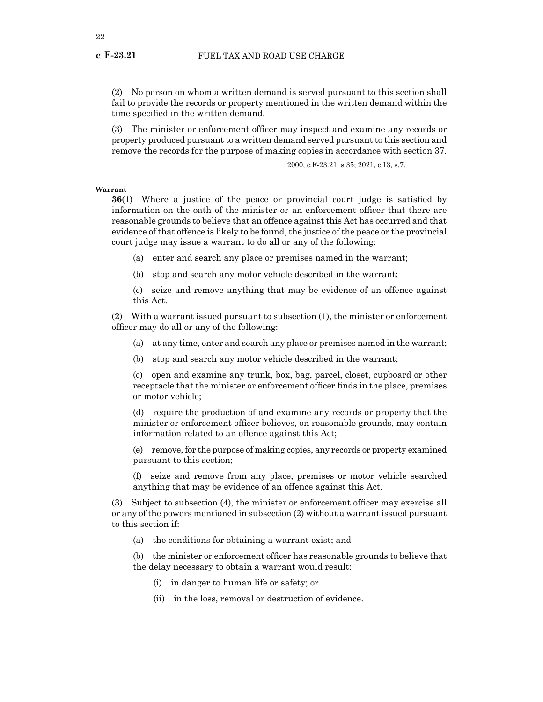(2) No person on whom a written demand is served pursuant to this section shall fail to provide the records or property mentioned in the written demand within the time specified in the written demand.

(3) The minister or enforcement officer may inspect and examine any records or property produced pursuant to a written demand served pursuant to this section and remove the records for the purpose of making copies in accordance with section 37.

2000, c.F-23.21, s.35; 2021, c 13, s.7.

**Warrant**

**36**(1) Where a justice of the peace or provincial court judge is satisfied by information on the oath of the minister or an enforcement officer that there are reasonable grounds to believe that an offence against this Act has occurred and that evidence of that offence is likely to be found, the justice of the peace or the provincial court judge may issue a warrant to do all or any of the following:

(a) enter and search any place or premises named in the warrant;

(b) stop and search any motor vehicle described in the warrant;

(c) seize and remove anything that may be evidence of an offence against this Act.

(2) With a warrant issued pursuant to subsection (1), the minister or enforcement officer may do all or any of the following:

- (a) at any time, enter and search any place or premises named in the warrant;
- (b) stop and search any motor vehicle described in the warrant;

(c) open and examine any trunk, box, bag, parcel, closet, cupboard or other receptacle that the minister or enforcement officer finds in the place, premises or motor vehicle;

(d) require the production of and examine any records or property that the minister or enforcement officer believes, on reasonable grounds, may contain information related to an offence against this Act;

(e) remove, for the purpose of making copies, any records or property examined pursuant to this section;

(f) seize and remove from any place, premises or motor vehicle searched anything that may be evidence of an offence against this Act.

(3) Subject to subsection (4), the minister or enforcement officer may exercise all or any of the powers mentioned in subsection (2) without a warrant issued pursuant to this section if:

(a) the conditions for obtaining a warrant exist; and

(b) the minister or enforcement officer has reasonable grounds to believe that the delay necessary to obtain a warrant would result:

- (i) in danger to human life or safety; or
- (ii) in the loss, removal or destruction of evidence.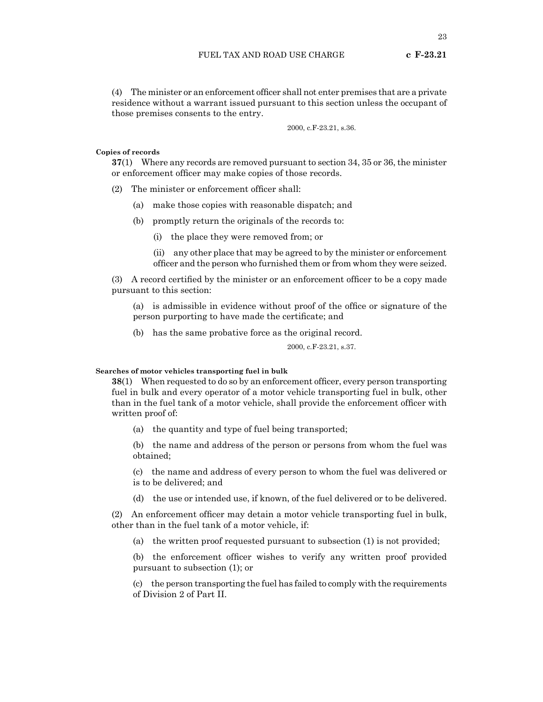(4) The minister or an enforcement officer shall not enter premises that are a private residence without a warrant issued pursuant to this section unless the occupant of those premises consents to the entry.

2000, c.F-23.21, s.36.

# **Copies of records**

**37**(1) Where any records are removed pursuant to section 34, 35 or 36, the minister or enforcement officer may make copies of those records.

- (2) The minister or enforcement officer shall:
	- (a) make those copies with reasonable dispatch; and
	- (b) promptly return the originals of the records to:
		- (i) the place they were removed from; or
		- (ii) any other place that may be agreed to by the minister or enforcement officer and the person who furnished them or from whom they were seized.

(3) A record certified by the minister or an enforcement officer to be a copy made pursuant to this section:

(a) is admissible in evidence without proof of the office or signature of the person purporting to have made the certificate; and

(b) has the same probative force as the original record.

2000, c.F-23.21, s.37.

# **Searches of motor vehicles transporting fuel in bulk**

**38**(1) When requested to do so by an enforcement officer, every person transporting fuel in bulk and every operator of a motor vehicle transporting fuel in bulk, other than in the fuel tank of a motor vehicle, shall provide the enforcement officer with written proof of:

(a) the quantity and type of fuel being transported;

(b) the name and address of the person or persons from whom the fuel was obtained;

(c) the name and address of every person to whom the fuel was delivered or is to be delivered; and

(d) the use or intended use, if known, of the fuel delivered or to be delivered.

(2) An enforcement officer may detain a motor vehicle transporting fuel in bulk, other than in the fuel tank of a motor vehicle, if:

(a) the written proof requested pursuant to subsection (1) is not provided;

(b) the enforcement officer wishes to verify any written proof provided pursuant to subsection (1); or

(c) the person transporting the fuel has failed to comply with the requirements of Division 2 of Part II.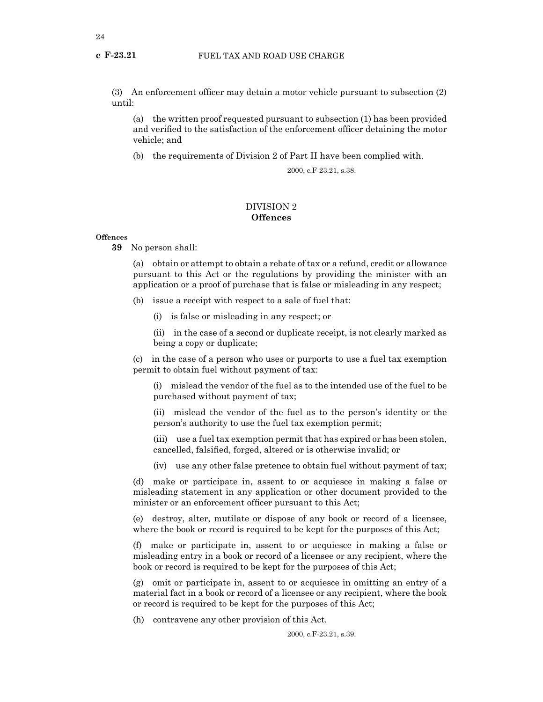(3) An enforcement officer may detain a motor vehicle pursuant to subsection (2) until:

(a) the written proof requested pursuant to subsection (1) has been provided and verified to the satisfaction of the enforcement officer detaining the motor vehicle; and

(b) the requirements of Division 2 of Part II have been complied with.

2000, c.F-23.21, s.38.

# DIVISION 2 **Offences**

# **Offences**

**39** No person shall:

(a) obtain or attempt to obtain a rebate of tax or a refund, credit or allowance pursuant to this Act or the regulations by providing the minister with an application or a proof of purchase that is false or misleading in any respect;

(b) issue a receipt with respect to a sale of fuel that:

(i) is false or misleading in any respect; or

(ii) in the case of a second or duplicate receipt, is not clearly marked as being a copy or duplicate;

(c) in the case of a person who uses or purports to use a fuel tax exemption permit to obtain fuel without payment of tax:

(i) mislead the vendor of the fuel as to the intended use of the fuel to be purchased without payment of tax;

(ii) mislead the vendor of the fuel as to the person's identity or the person's authority to use the fuel tax exemption permit;

(iii) use a fuel tax exemption permit that has expired or has been stolen, cancelled, falsified, forged, altered or is otherwise invalid; or

(iv) use any other false pretence to obtain fuel without payment of tax;

(d) make or participate in, assent to or acquiesce in making a false or misleading statement in any application or other document provided to the minister or an enforcement officer pursuant to this Act;

(e) destroy, alter, mutilate or dispose of any book or record of a licensee, where the book or record is required to be kept for the purposes of this Act;

(f) make or participate in, assent to or acquiesce in making a false or misleading entry in a book or record of a licensee or any recipient, where the book or record is required to be kept for the purposes of this Act;

(g) omit or participate in, assent to or acquiesce in omitting an entry of a material fact in a book or record of a licensee or any recipient, where the book or record is required to be kept for the purposes of this Act;

(h) contravene any other provision of this Act.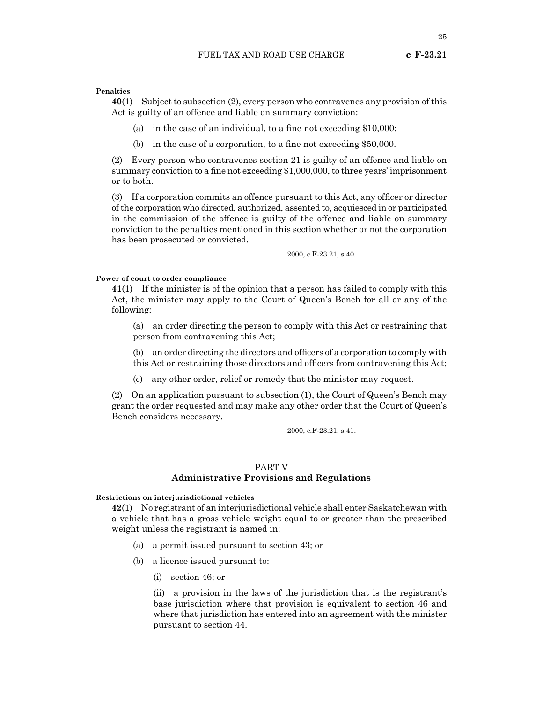# **Penalties**

**40**(1) Subject to subsection (2), every person who contravenes any provision of this Act is guilty of an offence and liable on summary conviction:

- (a) in the case of an individual, to a fine not exceeding \$10,000;
- (b) in the case of a corporation, to a fine not exceeding \$50,000.

(2) Every person who contravenes section 21 is guilty of an offence and liable on summary conviction to a fine not exceeding \$1,000,000, to three years' imprisonment or to both.

(3) If a corporation commits an offence pursuant to this Act, any officer or director of the corporation who directed, authorized, assented to, acquiesced in or participated in the commission of the offence is guilty of the offence and liable on summary conviction to the penalties mentioned in this section whether or not the corporation has been prosecuted or convicted.

2000, c.F-23.21, s.40.

# **Power of court to order compliance**

**41**(1) If the minister is of the opinion that a person has failed to comply with this Act, the minister may apply to the Court of Queen's Bench for all or any of the following:

(a) an order directing the person to comply with this Act or restraining that person from contravening this Act;

(b) an order directing the directors and officers of a corporation to comply with this Act or restraining those directors and officers from contravening this Act;

(c) any other order, relief or remedy that the minister may request.

(2) On an application pursuant to subsection (1), the Court of Queen's Bench may grant the order requested and may make any other order that the Court of Queen's Bench considers necessary.

2000, c.F-23.21, s.41.

# PART V

# **Administrative Provisions and Regulations**

# **Restrictions on interjurisdictional vehicles**

**42**(1) No registrant of an interjurisdictional vehicle shall enter Saskatchewan with a vehicle that has a gross vehicle weight equal to or greater than the prescribed weight unless the registrant is named in:

- (a) a permit issued pursuant to section 43; or
- (b) a licence issued pursuant to:
	- (i) section 46; or

(ii) a provision in the laws of the jurisdiction that is the registrant's base jurisdiction where that provision is equivalent to section 46 and where that jurisdiction has entered into an agreement with the minister pursuant to section 44.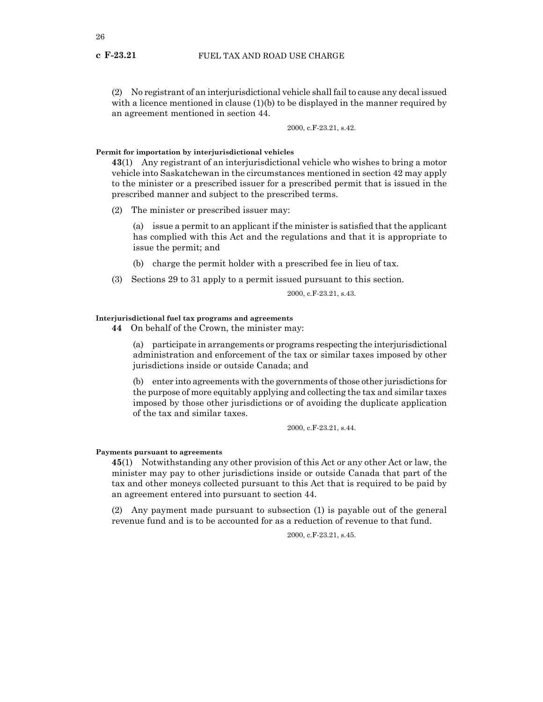(2) No registrant of an interjurisdictional vehicle shall fail to cause any decal issued with a licence mentioned in clause (1)(b) to be displayed in the manner required by an agreement mentioned in section 44.

2000, c.F-23.21, s.42.

# **Permit for importation by interjurisdictional vehicles**

**43**(1) Any registrant of an interjurisdictional vehicle who wishes to bring a motor vehicle into Saskatchewan in the circumstances mentioned in section 42 may apply to the minister or a prescribed issuer for a prescribed permit that is issued in the prescribed manner and subject to the prescribed terms.

(2) The minister or prescribed issuer may:

(a) issue a permit to an applicant if the minister is satisfied that the applicant has complied with this Act and the regulations and that it is appropriate to issue the permit; and

- (b) charge the permit holder with a prescribed fee in lieu of tax.
- (3) Sections 29 to 31 apply to a permit issued pursuant to this section.

2000, c.F-23.21, s.43.

# **Interjurisdictional fuel tax programs and agreements**

**44** On behalf of the Crown, the minister may:

(a) participate in arrangements or programs respecting the interjurisdictional administration and enforcement of the tax or similar taxes imposed by other jurisdictions inside or outside Canada; and

(b) enter into agreements with the governments of those other jurisdictions for the purpose of more equitably applying and collecting the tax and similar taxes imposed by those other jurisdictions or of avoiding the duplicate application of the tax and similar taxes.

2000, c.F-23.21, s.44.

# **Payments pursuant to agreements**

**45**(1) Notwithstanding any other provision of this Act or any other Act or law, the minister may pay to other jurisdictions inside or outside Canada that part of the tax and other moneys collected pursuant to this Act that is required to be paid by an agreement entered into pursuant to section 44.

(2) Any payment made pursuant to subsection (1) is payable out of the general revenue fund and is to be accounted for as a reduction of revenue to that fund.

2000, c.F-23.21, s.45.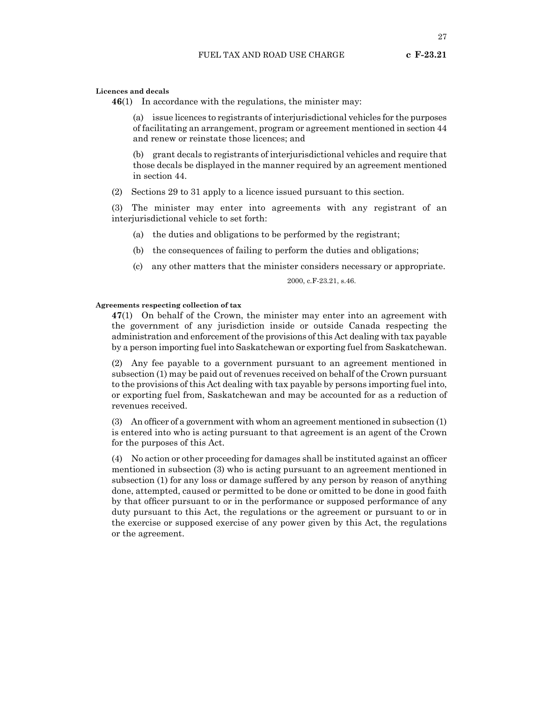27

# **Licences and decals**

**46**(1) In accordance with the regulations, the minister may:

(a) issue licences to registrants of interjurisdictional vehicles for the purposes of facilitating an arrangement, program or agreement mentioned in section 44 and renew or reinstate those licences; and

(b) grant decals to registrants of interjurisdictional vehicles and require that those decals be displayed in the manner required by an agreement mentioned in section 44.

(2) Sections 29 to 31 apply to a licence issued pursuant to this section.

(3) The minister may enter into agreements with any registrant of an interjurisdictional vehicle to set forth:

- (a) the duties and obligations to be performed by the registrant;
- (b) the consequences of failing to perform the duties and obligations;
- (c) any other matters that the minister considers necessary or appropriate.

2000, c.F-23.21, s.46.

# **Agreements respecting collection of tax**

**47**(1) On behalf of the Crown, the minister may enter into an agreement with the government of any jurisdiction inside or outside Canada respecting the administration and enforcement of the provisions of this Act dealing with tax payable by a person importing fuel into Saskatchewan or exporting fuel from Saskatchewan.

(2) Any fee payable to a government pursuant to an agreement mentioned in subsection (1) may be paid out of revenues received on behalf of the Crown pursuant to the provisions of this Act dealing with tax payable by persons importing fuel into, or exporting fuel from, Saskatchewan and may be accounted for as a reduction of revenues received.

(3) An officer of a government with whom an agreement mentioned in subsection (1) is entered into who is acting pursuant to that agreement is an agent of the Crown for the purposes of this Act.

(4) No action or other proceeding for damages shall be instituted against an officer mentioned in subsection (3) who is acting pursuant to an agreement mentioned in subsection (1) for any loss or damage suffered by any person by reason of anything done, attempted, caused or permitted to be done or omitted to be done in good faith by that officer pursuant to or in the performance or supposed performance of any duty pursuant to this Act, the regulations or the agreement or pursuant to or in the exercise or supposed exercise of any power given by this Act, the regulations or the agreement.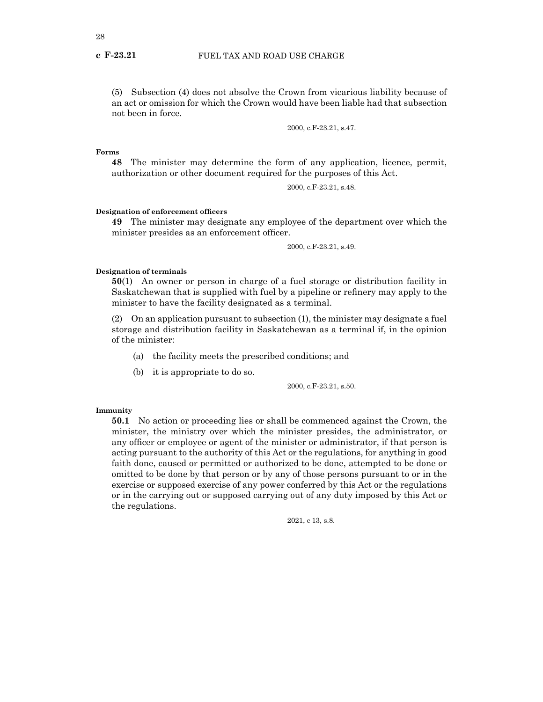(5) Subsection (4) does not absolve the Crown from vicarious liability because of an act or omission for which the Crown would have been liable had that subsection not been in force.

2000, c.F-23.21, s.47.

**Forms**

**48** The minister may determine the form of any application, licence, permit, authorization or other document required for the purposes of this Act.

2000, c.F-23.21, s.48.

# **Designation of enforcement officers**

**49** The minister may designate any employee of the department over which the minister presides as an enforcement officer.

2000, c.F-23.21, s.49.

#### **Designation of terminals**

**50**(1) An owner or person in charge of a fuel storage or distribution facility in Saskatchewan that is supplied with fuel by a pipeline or refinery may apply to the minister to have the facility designated as a terminal.

(2) On an application pursuant to subsection (1), the minister may designate a fuel storage and distribution facility in Saskatchewan as a terminal if, in the opinion of the minister:

- (a) the facility meets the prescribed conditions; and
- (b) it is appropriate to do so.

2000, c.F-23.21, s.50.

#### **Immunity**

**50.1** No action or proceeding lies or shall be commenced against the Crown, the minister, the ministry over which the minister presides, the administrator, or any officer or employee or agent of the minister or administrator, if that person is acting pursuant to the authority of this Act or the regulations, for anything in good faith done, caused or permitted or authorized to be done, attempted to be done or omitted to be done by that person or by any of those persons pursuant to or in the exercise or supposed exercise of any power conferred by this Act or the regulations or in the carrying out or supposed carrying out of any duty imposed by this Act or the regulations.

2021, c 13, s.8.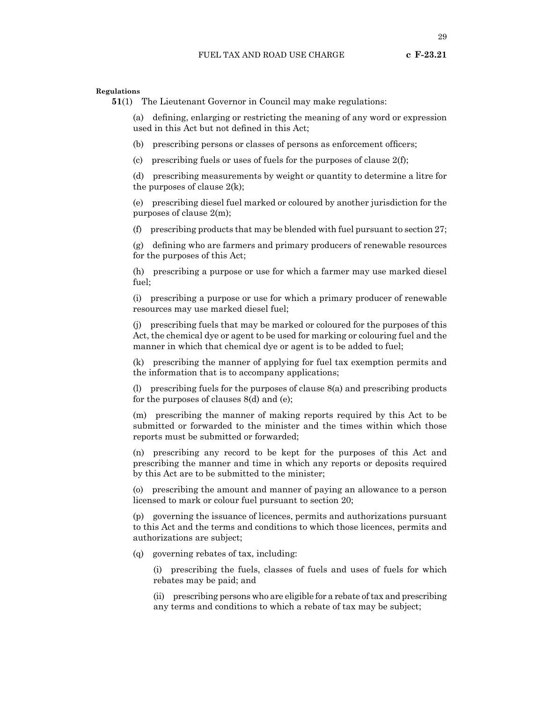**51**(1) The Lieutenant Governor in Council may make regulations:

(a) defining, enlarging or restricting the meaning of any word or expression used in this Act but not defined in this Act;

(b) prescribing persons or classes of persons as enforcement officers;

(c) prescribing fuels or uses of fuels for the purposes of clause  $2(f)$ ;

(d) prescribing measurements by weight or quantity to determine a litre for the purposes of clause  $2(k)$ ;

(e) prescribing diesel fuel marked or coloured by another jurisdiction for the purposes of clause 2(m);

(f) prescribing products that may be blended with fuel pursuant to section 27;

(g) defining who are farmers and primary producers of renewable resources for the purposes of this Act;

(h) prescribing a purpose or use for which a farmer may use marked diesel fuel;

(i) prescribing a purpose or use for which a primary producer of renewable resources may use marked diesel fuel;

(j) prescribing fuels that may be marked or coloured for the purposes of this Act, the chemical dye or agent to be used for marking or colouring fuel and the manner in which that chemical dye or agent is to be added to fuel;

(k) prescribing the manner of applying for fuel tax exemption permits and the information that is to accompany applications;

(l) prescribing fuels for the purposes of clause 8(a) and prescribing products for the purposes of clauses 8(d) and (e);

(m) prescribing the manner of making reports required by this Act to be submitted or forwarded to the minister and the times within which those reports must be submitted or forwarded;

(n) prescribing any record to be kept for the purposes of this Act and prescribing the manner and time in which any reports or deposits required by this Act are to be submitted to the minister;

(o) prescribing the amount and manner of paying an allowance to a person licensed to mark or colour fuel pursuant to section 20;

(p) governing the issuance of licences, permits and authorizations pursuant to this Act and the terms and conditions to which those licences, permits and authorizations are subject;

(q) governing rebates of tax, including:

(i) prescribing the fuels, classes of fuels and uses of fuels for which rebates may be paid; and

(ii) prescribing persons who are eligible for a rebate of tax and prescribing any terms and conditions to which a rebate of tax may be subject;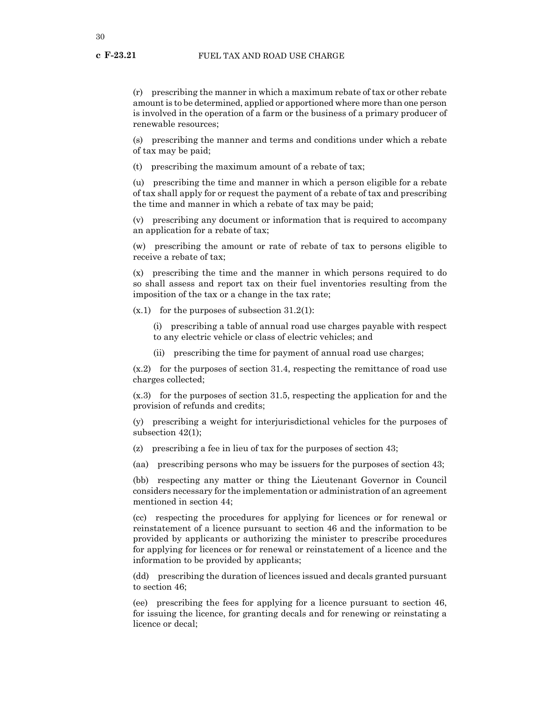(r) prescribing the manner in which a maximum rebate of tax or other rebate amount is to be determined, applied or apportioned where more than one person is involved in the operation of a farm or the business of a primary producer of renewable resources;

(s) prescribing the manner and terms and conditions under which a rebate of tax may be paid;

(t) prescribing the maximum amount of a rebate of tax;

(u) prescribing the time and manner in which a person eligible for a rebate of tax shall apply for or request the payment of a rebate of tax and prescribing the time and manner in which a rebate of tax may be paid;

(v) prescribing any document or information that is required to accompany an application for a rebate of tax;

(w) prescribing the amount or rate of rebate of tax to persons eligible to receive a rebate of tax;

(x) prescribing the time and the manner in which persons required to do so shall assess and report tax on their fuel inventories resulting from the imposition of the tax or a change in the tax rate;

 $(x,1)$  for the purposes of subsection 31.2(1):

(i) prescribing a table of annual road use charges payable with respect to any electric vehicle or class of electric vehicles; and

(ii) prescribing the time for payment of annual road use charges;

(x.2) for the purposes of section 31.4, respecting the remittance of road use charges collected;

(x.3) for the purposes of section 31.5, respecting the application for and the provision of refunds and credits;

(y) prescribing a weight for interjurisdictional vehicles for the purposes of subsection 42(1);

(z) prescribing a fee in lieu of tax for the purposes of section 43;

(aa) prescribing persons who may be issuers for the purposes of section 43;

(bb) respecting any matter or thing the Lieutenant Governor in Council considers necessary for the implementation or administration of an agreement mentioned in section 44;

(cc) respecting the procedures for applying for licences or for renewal or reinstatement of a licence pursuant to section 46 and the information to be provided by applicants or authorizing the minister to prescribe procedures for applying for licences or for renewal or reinstatement of a licence and the information to be provided by applicants;

(dd) prescribing the duration of licences issued and decals granted pursuant to section 46;

(ee) prescribing the fees for applying for a licence pursuant to section 46, for issuing the licence, for granting decals and for renewing or reinstating a licence or decal;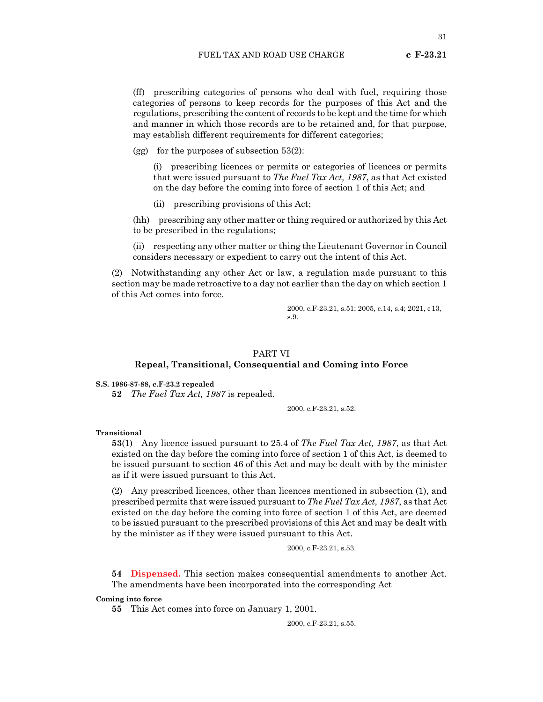(ff) prescribing categories of persons who deal with fuel, requiring those categories of persons to keep records for the purposes of this Act and the regulations, prescribing the content of records to be kept and the time for which and manner in which those records are to be retained and, for that purpose, may establish different requirements for different categories;

(gg) for the purposes of subsection  $53(2)$ :

(i) prescribing licences or permits or categories of licences or permits that were issued pursuant to *The Fuel Tax Act, 1987*, as that Act existed on the day before the coming into force of section 1 of this Act; and

(ii) prescribing provisions of this Act;

(hh) prescribing any other matter or thing required or authorized by this Act to be prescribed in the regulations;

(ii) respecting any other matter or thing the Lieutenant Governor in Council considers necessary or expedient to carry out the intent of this Act.

(2) Notwithstanding any other Act or law, a regulation made pursuant to this section may be made retroactive to a day not earlier than the day on which section 1 of this Act comes into force.

> 2000, c.F-23.21, s.51; 2005, c.14, s.4; 2021, c13, s.9.

# PART VI

# **Repeal, Transitional, Consequential and Coming into Force**

**S.S. 1986-87-88, c.F-23.2 repealed**

**52** *The Fuel Tax Act, 1987* is repealed.

2000, c.F-23.21, s.52.

# **Transitional**

**53**(1) Any licence issued pursuant to 25.4 of *The Fuel Tax Act, 1987*, as that Act existed on the day before the coming into force of section 1 of this Act, is deemed to be issued pursuant to section 46 of this Act and may be dealt with by the minister as if it were issued pursuant to this Act.

(2) Any prescribed licences, other than licences mentioned in subsection (1), and prescribed permits that were issued pursuant to *The Fuel Tax Act, 1987*, as that Act existed on the day before the coming into force of section 1 of this Act, are deemed to be issued pursuant to the prescribed provisions of this Act and may be dealt with by the minister as if they were issued pursuant to this Act.

2000, c.F-23.21, s.53.

**54 Dispensed.** This section makes consequential amendments to another Act. The amendments have been incorporated into the corresponding Act

**Coming into force**

**55** This Act comes into force on January 1, 2001.

2000, c.F-23.21, s.55.